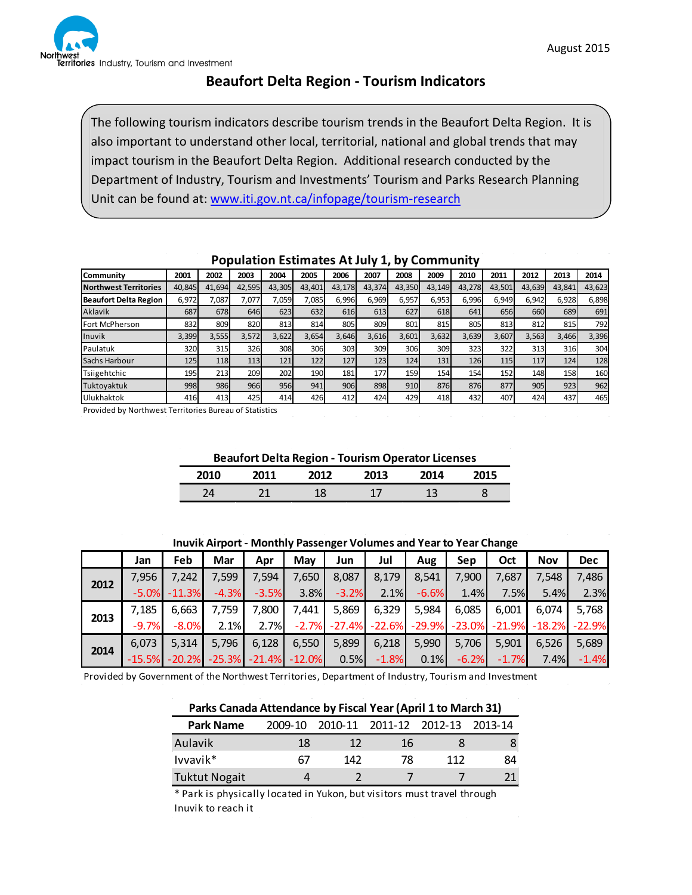

# **Beaufort Delta Region - Tourism Indicators**

The following tourism indicators describe tourism trends in the Beaufort Delta Region. It is also important to understand other local, territorial, national and global trends that may impact tourism in the Beaufort Delta Region. Additional research conducted by the Department of Industry, Tourism and Investments' Tourism and Parks Research Planning Unit can be found at: [www.iti.gov.nt.ca/infopage/tourism-research](http://www.iti.gov.nt.ca/infopage/tourism-research)

|                              |        |        |        |        |        |        |        | $\sim$ , |        |        |        |        |        |        |
|------------------------------|--------|--------|--------|--------|--------|--------|--------|----------|--------|--------|--------|--------|--------|--------|
| Community                    | 2001   | 2002   | 2003   | 2004   | 2005   | 2006   | 2007   | 2008     | 2009   | 2010   | 2011   | 2012   | 2013   | 2014   |
| <b>Northwest Territories</b> | 40,845 | 41,694 | 42,595 | 43,305 | 43,401 | 43,178 | 43,374 | 43,350   | 43,149 | 43,278 | 43,501 | 43,639 | 43,841 | 43,623 |
| Beaufort Delta Region        | 6,972  | .087   | 7,077  | 7,059  | 7,085  | 6,996  | 6,969  | 6,957    | 6,953  | 6,996  | 6,949  | 6,942  | 6,928  | 6,898  |
| Aklavik                      | 687    | 678    | 646    | 623    | 632    | 616    | 613    | 627      | 618    | 641    | 656    | 660    | 689    | 691    |
| Fort McPherson               | 832    | 809    | 820    | 813    | 814    | 805    | 809    | 801      | 815    | 805    | 813    | 812    | 815    | 792    |
| Inuvik                       | 3,399  | 3,555  | 3,572  | 3,622  | 3,654  | 3,646  | 3,616  | 3,601    | 3,632  | 3,639  | 3,607  | 3,563  | 3,466  | 3,396  |
| Paulatuk                     | 320    | 315    | 326    | 308    | 306    | 303    | 309    | 306      | 309    | 323    | 322    | 313    | 316    | 304    |
| Sachs Harbour                | 125    | 118    | 113    | 121    | 122    | 127    | 123    | 124      | 131    | 126    | 115    | 117    | 124    | 128    |
| Tsiigehtchic                 | 195    | 2131   | 209    | 202    | 190    | 181    | 177    | 159      | 154    | 154    | 152    | 148    | 158    | 160    |
| Tuktoyaktuk                  | 998    | 986    | 966    | 956    | 941    | 906    | 898    | 910      | 876    | 876    | 877    | 905    | 923    | 962    |
| Ulukhaktok                   | 416    | 413    | 425    | 414    | 426    | 412    | 424    | 429      | 418    | 432    | 407    | 424    | 437    | 465    |

### **Population Estimates At July 1, by Community**

Provided by Northwest Territories Bureau of Statistics

### **Beaufort Delta Region - Tourism Operator Licenses**

| 2010 | 2011 | フロ1フ | 2013 | 2014 | 2015 |
|------|------|------|------|------|------|
| 44   |      | --   | . .  | ∸    |      |

**Inuvik Airport - Monthly Passenger Volumes and Year to Year Change**

|      | Jan      | Feb      | Mar      | Apr      | May      | Jun      | Jul      | Aug      | Sep      | Oct      | <b>Nov</b> | <b>Dec</b> |
|------|----------|----------|----------|----------|----------|----------|----------|----------|----------|----------|------------|------------|
| 2012 | 7.956    | 7.242    | 7,599    | 7,594    | 7,650    | 8,087    | 8,179    | 8,541    | 7,900    | 7.687    | 7,548      | 7,486      |
|      | $-5.0%$  | $-11.3%$ | $-4.3%$  | $-3.5%$  | 3.8%     | $-3.2%$  | 2.1%     | $-6.6%$  | 1.4%     | 7.5%     | 5.4%       | 2.3%       |
|      | 7,185    | 6,663    | 7.759    | 7,800    | .441     | 5,869    | 6,329    | 5,984    | 6,085    | 6.001    | 6.074      | 5,768      |
| 2013 | $-9.7%$  | $-8.0%$  | 2.1%     | 2.7%     | $-2.7%$  | $-27.4%$ | $-22.6%$ | $-29.9%$ | $-23.0%$ | $-21.9%$ | $-18.2%$   | $-22.9%$   |
| 2014 | 6.073    | 5,314    | 5,796    | 6,128    | 6,550    | 5,899    | 6,218    | 5,990    | 5,706    | 5,901    | 6,526      | 5,689      |
|      | $-15.5%$ | $-20.2%$ | $-25.3%$ | $-21.4%$ | $-12.0%$ | 0.5%     | $-1.8%$  | 0.1%     | $-6.2%$  | $-1.7%$  | 7.4%       | $-1.4%$    |

Provided by Government of the Northwest Territories, Department of Industry, Tourism and Investment

## **Parks Canada Attendance by Fiscal Year (April 1 to March 31)**

| <b>Park Name</b>     | 2009-10 |     | 2010-11 2011-12 2012-13 |     | 2013-14 |
|----------------------|---------|-----|-------------------------|-----|---------|
| Aulavik              | 18      |     | 16                      |     |         |
| Ivvavik*             | 67      | 142 | 78                      | 112 | 84      |
| <b>Tuktut Nogait</b> |         |     |                         |     |         |

\* Park is physically located in Yukon, but visitors must travel through Inuvik to reach it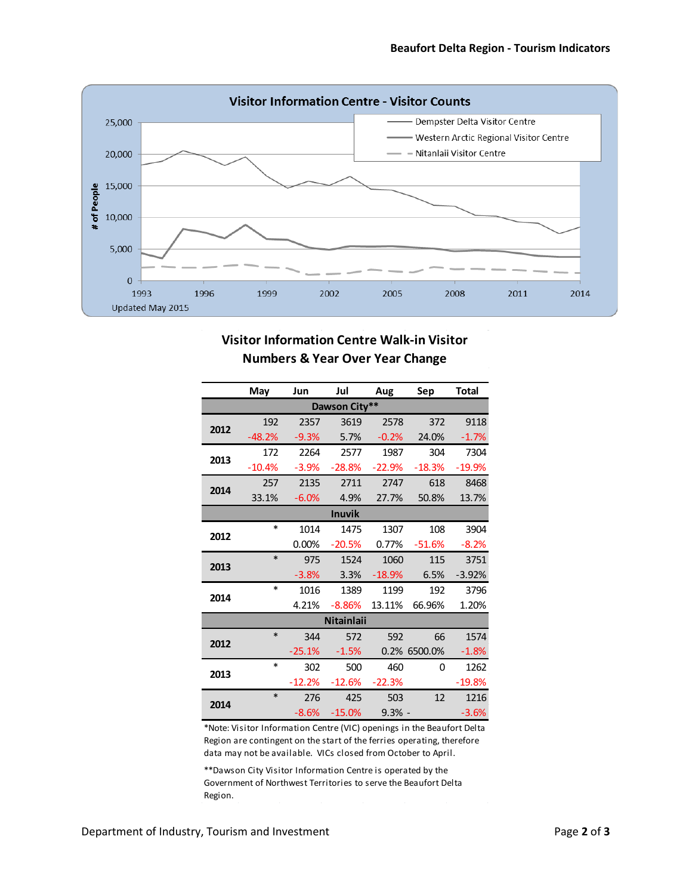

# **Visitor Information Centre Walk-in Visitor Numbers & Year Over Year Change**

|               | May      | Jun      | Jul               | Aug      | Sep          | Total    |  |  |  |  |
|---------------|----------|----------|-------------------|----------|--------------|----------|--|--|--|--|
| Dawson City** |          |          |                   |          |              |          |  |  |  |  |
| 2012          | 192      | 2357     | 3619              | 2578     | 372          | 9118     |  |  |  |  |
|               | $-48.2%$ | $-9.3%$  | 5.7%              | $-0.2%$  | 24.0%        | $-1.7%$  |  |  |  |  |
| 2013          | 172      | 2264     | 2577              | 1987     | 304          | 7304     |  |  |  |  |
|               | $-10.4%$ | $-3.9%$  | $-28.8%$          | $-22.9%$ | $-18.3%$     | $-19.9%$ |  |  |  |  |
| 2014          | 257      | 2135     | 2711              | 2747     | 618          | 8468     |  |  |  |  |
|               | 33.1%    | $-6.0%$  | 4.9%              | 27.7%    | 50.8%        | 13.7%    |  |  |  |  |
|               |          |          | <b>Inuvik</b>     |          |              |          |  |  |  |  |
| 2012          | $\ast$   | 1014     | 1475              | 1307     | 108          | 3904     |  |  |  |  |
|               |          | 0.00%    | $-20.5%$          | 0.77%    | $-51.6%$     | $-8.2%$  |  |  |  |  |
| 2013          | $\ast$   | 975      | 1524              | 1060     | 115          | 3751     |  |  |  |  |
|               |          | $-3.8%$  | 3.3%              | $-18.9%$ | 6.5%         | $-3.92%$ |  |  |  |  |
| 2014          | $\ast$   | 1016     | 1389              | 1199     | 192          | 3796     |  |  |  |  |
|               |          | 4.21%    | $-8.86%$          | 13.11%   | 66.96%       | 1.20%    |  |  |  |  |
|               |          |          | <b>Nitainlaii</b> |          |              |          |  |  |  |  |
| 2012          | *        | 344      | 572               | 592      | 66           | 1574     |  |  |  |  |
|               |          | $-25.1%$ | $-1.5%$           |          | 0.2% 6500.0% | $-1.8%$  |  |  |  |  |
| 2013          | $\ast$   | 302      | 500               | 460      | 0            | 1262     |  |  |  |  |
|               |          | $-12.2%$ | $-12.6%$          | $-22.3%$ |              | $-19.8%$ |  |  |  |  |
| 2014          | $\ast$   | 276      | 425               | 503      | 12           | 1216     |  |  |  |  |
|               |          | $-8.6%$  | $-15.0%$          | $9.3%$ - |              | $-3.6%$  |  |  |  |  |

\*Note: Visitor Information Centre (VIC) openings in the Beaufort Delta Region are contingent on the start of the ferries operating, therefore data may not be available. VICs closed from October to April.

\*\*Dawson City Visitor Information Centre is operated by the Government of Northwest Territories to serve the Beaufort Delta Region.